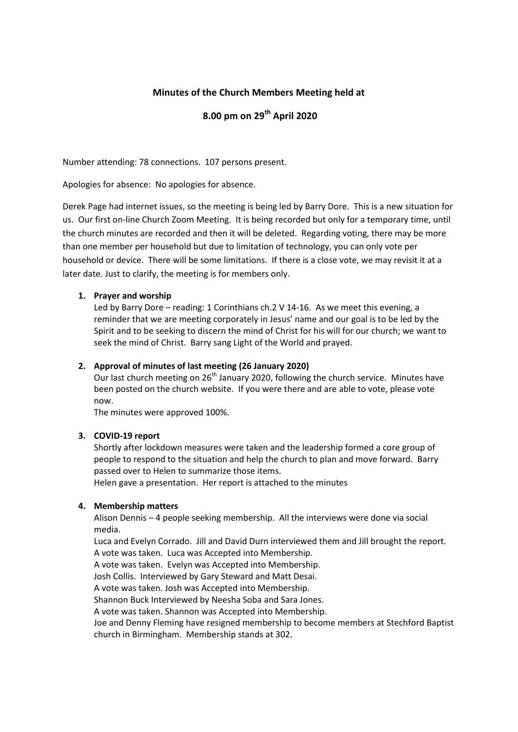# **Minutes of the Church Members Meeting held at**

# **8.00 pm on 29 th April 2020**

Number attending: 78 connections. 107 persons present.

Apologies for absence: No apologies for absence.

Derek Page had internet issues, so the meeting is being led by Barry Dore. This is a new situation for us. Our first on-line Church Zoom Meeting. It is being recorded but only for a temporary time, until the church minutes are recorded and then it will be deleted. Regarding voting, there may be more than one member per household but due to limitation of technology, you can only vote per household or device. There will be some limitations. If there is a close vote, we may revisit it at a later date. Just to clarify, the meeting is for members only.

# **1. Prayer and worship**

Led by Barry Dore – reading: 1 Corinthians ch.2 V 14-16. As we meet this evening, a reminder that we are meeting corporately in Jesus' name and our goal is to be led by the Spirit and to be seeking to discern the mind of Christ for his will for our church; we want to seek the mind of Christ. Barry sang Light of the World and prayed.

# **2. Approval of minutes of last meeting (26 January 2020)**

Our last church meeting on  $26<sup>th</sup>$  January 2020, following the church service. Minutes have been posted on the church website. If you were there and are able to vote, please vote now.

The minutes were approved 100%.

## **3. COVID-19 report**

Shortly after lockdown measures were taken and the leadership formed a core group of people to respond to the situation and help the church to plan and move forward. Barry passed over to Helen to summarize those items.

Helen gave a presentation. Her report is attached to the minutes

## **4. Membership matters**

Alison Dennis – 4 people seeking membership. All the interviews were done via social media.

Luca and Evelyn Corrado. Jill and David Durn interviewed them and Jill brought the report. A vote was taken. Luca was Accepted into Membership.

A vote was taken. Evelyn was Accepted into Membership.

Josh Collis. Interviewed by Gary Steward and Matt Desai.

A vote was taken. Josh was Accepted into Membership.

Shannon Buck Interviewed by Neesha Soba and Sara Jones.

A vote was taken. Shannon was Accepted into Membership.

Joe and Denny Fleming have resigned membership to become members at Stechford Baptist church in Birmingham. Membership stands at 302.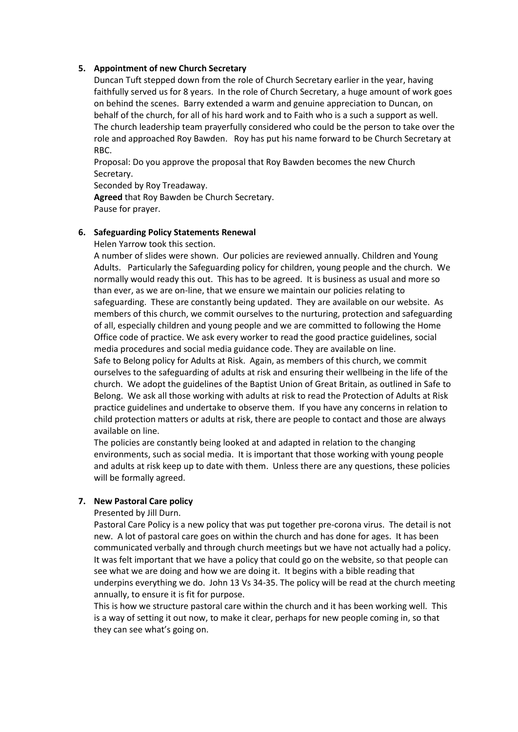# **5. Appointment of new Church Secretary**

Duncan Tuft stepped down from the role of Church Secretary earlier in the year, having faithfully served us for 8 years. In the role of Church Secretary, a huge amount of work goes on behind the scenes. Barry extended a warm and genuine appreciation to Duncan, on behalf of the church, for all of his hard work and to Faith who is a such a support as well. The church leadership team prayerfully considered who could be the person to take over the role and approached Roy Bawden. Roy has put his name forward to be Church Secretary at RBC.

Proposal: Do you approve the proposal that Roy Bawden becomes the new Church Secretary.

Seconded by Roy Treadaway.

**Agreed** that Roy Bawden be Church Secretary. Pause for prayer.

## **6. Safeguarding Policy Statements Renewal**

Helen Yarrow took this section.

A number of slides were shown. Our policies are reviewed annually. Children and Young Adults. Particularly the Safeguarding policy for children, young people and the church. We normally would ready this out. This has to be agreed. It is business as usual and more so than ever, as we are on-line, that we ensure we maintain our policies relating to safeguarding. These are constantly being updated. They are available on our website. As members of this church, we commit ourselves to the nurturing, protection and safeguarding of all, especially children and young people and we are committed to following the Home Office code of practice. We ask every worker to read the good practice guidelines, social media procedures and social media guidance code. They are available on line. Safe to Belong policy for Adults at Risk. Again, as members of this church, we commit ourselves to the safeguarding of adults at risk and ensuring their wellbeing in the life of the church. We adopt the guidelines of the Baptist Union of Great Britain, as outlined in Safe to Belong. We ask all those working with adults at risk to read the Protection of Adults at Risk practice guidelines and undertake to observe them. If you have any concerns in relation to child protection matters or adults at risk, there are people to contact and those are always available on line.

The policies are constantly being looked at and adapted in relation to the changing environments, such as social media. It is important that those working with young people and adults at risk keep up to date with them. Unless there are any questions, these policies will be formally agreed.

## **7. New Pastoral Care policy**

Presented by Jill Durn.

Pastoral Care Policy is a new policy that was put together pre-corona virus. The detail is not new. A lot of pastoral care goes on within the church and has done for ages. It has been communicated verbally and through church meetings but we have not actually had a policy. It was felt important that we have a policy that could go on the website, so that people can see what we are doing and how we are doing it. It begins with a bible reading that underpins everything we do. John 13 Vs 34-35. The policy will be read at the church meeting annually, to ensure it is fit for purpose.

This is how we structure pastoral care within the church and it has been working well. This is a way of setting it out now, to make it clear, perhaps for new people coming in, so that they can see what's going on.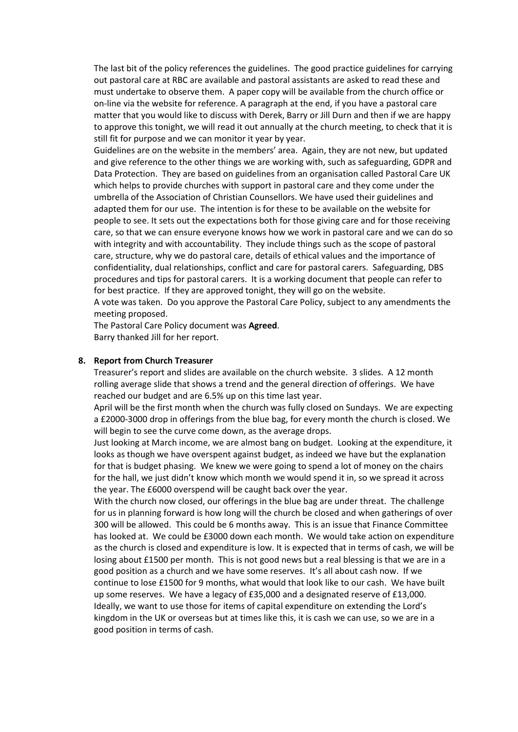The last bit of the policy references the guidelines. The good practice guidelines for carrying out pastoral care at RBC are available and pastoral assistants are asked to read these and must undertake to observe them. A paper copy will be available from the church office or on-line via the website for reference. A paragraph at the end, if you have a pastoral care matter that you would like to discuss with Derek, Barry or Jill Durn and then if we are happy to approve this tonight, we will read it out annually at the church meeting, to check that it is still fit for purpose and we can monitor it year by year.

Guidelines are on the website in the members' area. Again, they are not new, but updated and give reference to the other things we are working with, such as safeguarding, GDPR and Data Protection. They are based on guidelines from an organisation called Pastoral Care UK which helps to provide churches with support in pastoral care and they come under the umbrella of the Association of Christian Counsellors. We have used their guidelines and adapted them for our use. The intention is for these to be available on the website for people to see. It sets out the expectations both for those giving care and for those receiving care, so that we can ensure everyone knows how we work in pastoral care and we can do so with integrity and with accountability. They include things such as the scope of pastoral care, structure, why we do pastoral care, details of ethical values and the importance of confidentiality, dual relationships, conflict and care for pastoral carers. Safeguarding, DBS procedures and tips for pastoral carers. It is a working document that people can refer to for best practice. If they are approved tonight, they will go on the website.

A vote was taken. Do you approve the Pastoral Care Policy, subject to any amendments the meeting proposed.

The Pastoral Care Policy document was **Agreed**. Barry thanked Jill for her report.

#### **8. Report from Church Treasurer**

Treasurer's report and slides are available on the church website. 3 slides. A 12 month rolling average slide that shows a trend and the general direction of offerings. We have reached our budget and are 6.5% up on this time last year.

April will be the first month when the church was fully closed on Sundays. We are expecting a £2000-3000 drop in offerings from the blue bag, for every month the church is closed. We will begin to see the curve come down, as the average drops.

Just looking at March income, we are almost bang on budget. Looking at the expenditure, it looks as though we have overspent against budget, as indeed we have but the explanation for that is budget phasing. We knew we were going to spend a lot of money on the chairs for the hall, we just didn't know which month we would spend it in, so we spread it across the year. The £6000 overspend will be caught back over the year.

With the church now closed, our offerings in the blue bag are under threat. The challenge for us in planning forward is how long will the church be closed and when gatherings of over 300 will be allowed. This could be 6 months away. This is an issue that Finance Committee has looked at. We could be £3000 down each month. We would take action on expenditure as the church is closed and expenditure is low. It is expected that in terms of cash, we will be losing about £1500 per month. This is not good news but a real blessing is that we are in a good position as a church and we have some reserves. It's all about cash now. If we continue to lose £1500 for 9 months, what would that look like to our cash. We have built up some reserves. We have a legacy of £35,000 and a designated reserve of £13,000. Ideally, we want to use those for items of capital expenditure on extending the Lord's kingdom in the UK or overseas but at times like this, it is cash we can use, so we are in a good position in terms of cash.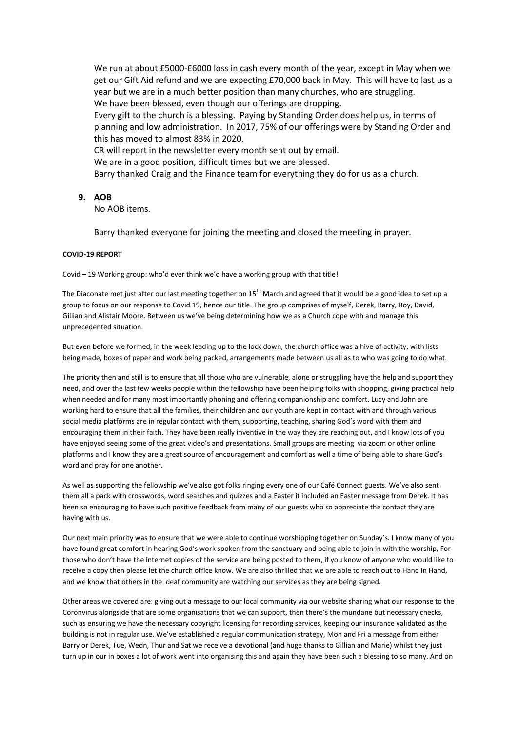We run at about £5000-£6000 loss in cash every month of the year, except in May when we get our Gift Aid refund and we are expecting £70,000 back in May. This will have to last us a year but we are in a much better position than many churches, who are struggling. We have been blessed, even though our offerings are dropping. Every gift to the church is a blessing. Paying by Standing Order does help us, in terms of planning and low administration. In 2017, 75% of our offerings were by Standing Order and this has moved to almost 83% in 2020. CR will report in the newsletter every month sent out by email. We are in a good position, difficult times but we are blessed. Barry thanked Craig and the Finance team for everything they do for us as a church.

#### **9. AOB**

No AOB items.

Barry thanked everyone for joining the meeting and closed the meeting in prayer.

#### **COVID-19 REPORT**

Covid – 19 Working group: who'd ever think we'd have a working group with that title!

The Diaconate met just after our last meeting together on  $15^{th}$  March and agreed that it would be a good idea to set up a group to focus on our response to Covid 19, hence our title. The group comprises of myself, Derek, Barry, Roy, David, Gillian and Alistair Moore. Between us we've being determining how we as a Church cope with and manage this unprecedented situation.

But even before we formed, in the week leading up to the lock down, the church office was a hive of activity, with lists being made, boxes of paper and work being packed, arrangements made between us all as to who was going to do what.

The priority then and still is to ensure that all those who are vulnerable, alone or struggling have the help and support they need, and over the last few weeks people within the fellowship have been helping folks with shopping, giving practical help when needed and for many most importantly phoning and offering companionship and comfort. Lucy and John are working hard to ensure that all the families, their children and our youth are kept in contact with and through various social media platforms are in regular contact with them, supporting, teaching, sharing God's word with them and encouraging them in their faith. They have been really inventive in the way they are reaching out, and I know lots of you have enjoyed seeing some of the great video's and presentations. Small groups are meeting via zoom or other online platforms and I know they are a great source of encouragement and comfort as well a time of being able to share God's word and pray for one another.

As well as supporting the fellowship we've also got folks ringing every one of our Café Connect guests. We've also sent them all a pack with crosswords, word searches and quizzes and a Easter it included an Easter message from Derek. It has been so encouraging to have such positive feedback from many of our guests who so appreciate the contact they are having with us.

Our next main priority was to ensure that we were able to continue worshipping together on Sunday's. I know many of you have found great comfort in hearing God's work spoken from the sanctuary and being able to join in with the worship, For those who don't have the internet copies of the service are being posted to them, if you know of anyone who would like to receive a copy then please let the church office know. We are also thrilled that we are able to reach out to Hand in Hand, and we know that others in the deaf community are watching our services as they are being signed.

Other areas we covered are: giving out a message to our local community via our website sharing what our response to the Coronvirus alongside that are some organisations that we can support, then there's the mundane but necessary checks, such as ensuring we have the necessary copyright licensing for recording services, keeping our insurance validated as the building is not in regular use. We've established a regular communication strategy, Mon and Fri a message from either Barry or Derek, Tue, Wedn, Thur and Sat we receive a devotional (and huge thanks to Gillian and Marie) whilst they just turn up in our in boxes a lot of work went into organising this and again they have been such a blessing to so many. And on